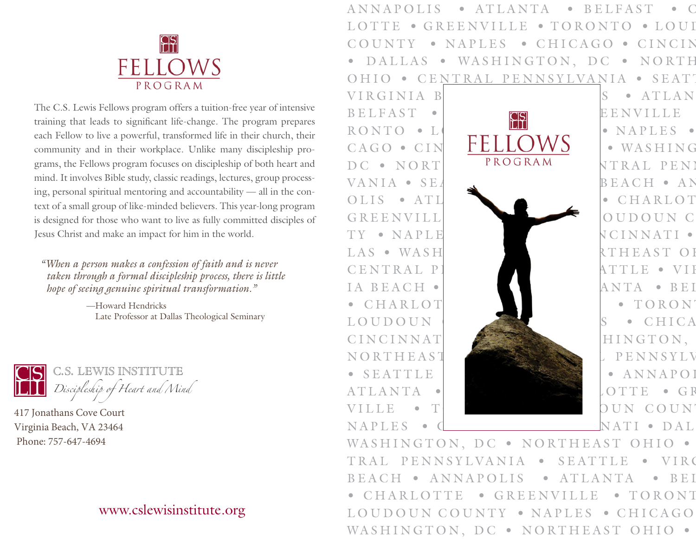

The C.S. Lewis Fellows program offers a tuition-free year of intensive training that leads to significant life-change. The program prepares each Fellow to live a powerful, transformed life in their church, their community and in their workplace. Unlike many discipleship programs, the Fellows program focuses on discipleship of both heart and mind. It involves Bible study, classic readings, lectures, group processing, personal spiritual mentoring and accountability — all in the context of a small group of like-minded believers. This year-long program is designed for those who want to live as fully committed disciples of Jesus Christ and make an impact for him in the world.

*"When a person makes a confession of faith and is never taken through a formal discipleship process, there is little hope of seeing genuine spiritual transformation."*

> —Howard Hendricks Late Professor at Dallas Theological Seminary



417 Jonathans Cove Court Virginia Beach, VA 23464 Phone: 757-647-4694

## [www.cslewisinstitute.org](https://www.cslewisinstitute.org/)

ANNAPOLIS • ATLANTA • BELFAST • C LOTTE • GREENVILLE • TORONTO • LOUI COUNTY • NAPLES • CHICAGO • CINCIN DALLAS • WASHINGTON, DC • NORTH OHIO • CENTRAL PENNSYLVANIA • SEATT



WASHINGTON, DC · NORTHEAST OHIO · TRAL PENNSYLVANIA • SEATTLE • VIRG BEACH • ANNAPOLIS • ATLANTA • BEI CHARLOTTE • GREENVILLE • TORONT LOUDOUN COUNTY • NAPLES • CHICAGO WASHINGTON, DC · NORTHEAST OHIO ·